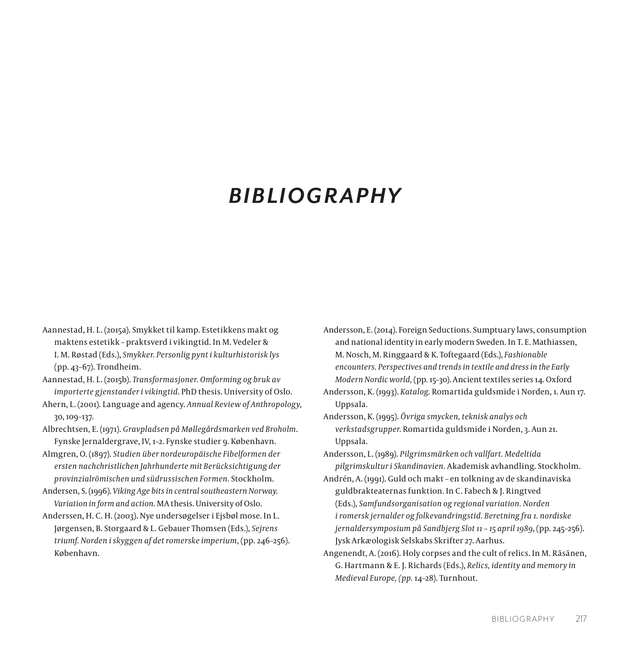## *BIBLIOGRAPHY*

- Aannestad, H. L. (2015a). Smykket til kamp. Estetikkens makt og maktens estetikk – praktsverd i vikingtid. In M. Vedeler & I. M. Røstad (Eds.), *Smykker. Personlig pynt i kulturhistorisk lys* (pp. 43–67). Trondheim.
- Aannestad, H. L. (2015b). *Transformasjoner. Omforming og bruk av importerte gjenstander i vikingtid*. PhD thesis. University of Oslo.
- Ahern, L. (2001). Language and agency. *Annual Review of Anthropology*, 30, 109–137.
- Albrechtsen, E. (1971). *Gravpladsen på Møllegårdsmarken ved Broholm*. Fynske Jernaldergrave, IV, 1–2. Fynske studier 9. København.
- Almgren, O. (1897). *Studien über nordeuropäische Fibelformen der ersten nachchristlichen Jahrhunderte mit Berücksichtigung der provinzialrömischen und südrussischen Formen.* Stockholm.
- Andersen, S. (1996). *Viking Age bits in central southeastern Norway. Variation in form and action.* MA thesis. University of Oslo.
- Anderssen, H. C. H. (2003). Nye undersøgelser i Ejsbøl mose. In L. Jørgensen, B. Storgaard & L. Gebauer Thomsen (Eds.), *Sejrens triumf. Norden i skyggen af det romerske imperium*, (pp. 246–256). København.

Andersson, E. (2014). Foreign Seductions. Sumptuary laws, consumption and national identity in early modern Sweden. In T. E. Mathiassen, M. Nosch, M. Ringgaard & K. Toftegaard (Eds.), *Fashionable encounters. Perspectives and trends in textile and dress in the Early Modern Nordic world,* (pp. 15–30). Ancient textiles series 14. Oxford

Andersson, K. (1993). *Katalog*. Romartida guldsmide i Norden, 1. Aun 17. Uppsala.

Andersson, K. (1995). *Övriga smycken, teknisk analys och verkstadsgrupper*. Romartida guldsmide i Norden, 3. Aun 21. Uppsala.

Andersson, L. (1989). *Pilgrimsmärken och vallfart. Medeltida pilgrimskultur i Skandinavien.* Akademisk avhandling. Stockholm.

- Andrén, A. (1991). Guld och makt en tolkning av de skandinaviska guldbrakteaternas funktion. In C. Fabech & J. Ringtved (Eds.), *Samfundsorganisation og regional variation. Norden i romersk jernalder og folkevandringstid. Beretning fra 1. nordiske jernaldersymposium på Sandbjerg Slot 11 – 15 april 1989*, (pp. 245–256). Jysk Arkæologisk Selskabs Skrifter 27. Aarhus.
- Angenendt, A. (2016). Holy corpses and the cult of relics. In M. Räsänen, G. Hartmann & E. J. Richards (Eds.), *Relics, identity and memory in Medieval Europe, (pp.* 14–28). Turnhout.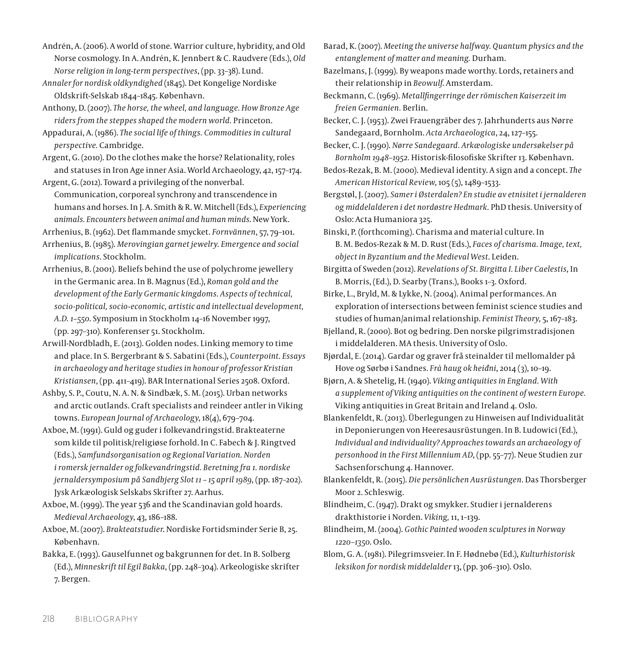Andrén, A. (2006). A world of stone. Warrior culture, hybridity, and Old Norse cosmology. In A. Andrén, K. Jennbert & C. Raudvere (Eds.), *Old Norse religion in long-term perspectives*, (pp. 33–38). Lund.

*Annaler for nordisk oldkyndighed* (1845). Det Kongelige Nordiske Oldskrift-Selskab 1844–1845. København.

Anthony, D. (2007). *The horse, the wheel, and language. How Bronze Age riders from the steppes shaped the modern world.* Princeton.

Appadurai, A. (1986). *The social life of things. Commodities in cultural perspective.* Cambridge.

Argent, G. (2010). Do the clothes make the horse? Relationality, roles and statuses in Iron Age inner Asia. World Archaeology, 42, 157–174.

Argent, G. (2012). Toward a privileging of the nonverbal. Communication, corporeal synchrony and transcendence in humans and horses. In J. A. Smith & R. W. Mitchell (Eds.), *Experiencing animals. Encounters between animal and human minds*. New York.

Arrhenius, B. (1962). Det flammande smycket. *Fornvännen*, 57, 79–101.

Arrhenius, B. (1985). *Merovingian garnet jewelry. Emergence and social implications*. Stockholm.

Arrhenius, B. (2001). Beliefs behind the use of polychrome jewellery in the Germanic area. In B. Magnus (Ed.), *Roman gold and the development of the Early Germanic kingdoms. Aspects of technical, socio-political, socio-economic, artistic and intellectual development, A.D. 1–550*. Symposium in Stockholm 14–16 November 1997, (pp. 297–310). Konferenser 51. Stockholm.

Arwill-Nordbladh, E. (2013). Golden nodes. Linking memory to time and place. In S. Bergerbrant & S. Sabatini (Eds.), *Counterpoint. Essays in archaeology and heritage studies in honour of professor Kristian Kristiansen*, (pp. 411–419). BAR International Series 2508. Oxford.

Ashby, S. P., Coutu, N. A. N. & Sindbæk, S. M. (2015). Urban networks and arctic outlands. Craft specialists and reindeer antler in Viking towns. *European Journal of Archaeology*, 18(4), 679–704.

Axboe, M. (1991). Guld og guder i folkevandringstid. Brakteaterne som kilde til politisk/religiøse forhold. In C. Fabech & J. Ringtved (Eds.), *Samfundsorganisation og Regional Variation. Norden i romersk jernalder og folkevandringstid. Beretning fra 1. nordiske jernaldersymposium på Sandbjerg Slot 11 – 15 april 1989*, (pp. 187–202). Jysk Arkæologisk Selskabs Skrifter 27. Aarhus.

Axboe, M. (1999). The year 536 and the Scandinavian gold hoards. *Medieval Archaeology*, 43, 186–188.

Axboe, M. (2007). *Brakteatstudier*. Nordiske Fortidsminder Serie B, 25. København.

Bakka, E. (1993). Gauselfunnet og bakgrunnen for det. In B. Solberg (Ed.), *Minneskrift til Egil Bakka*, (pp. 248–304). Arkeologiske skrifter 7. Bergen.

Barad, K. (2007). *Meeting the universe halfway. Quantum physics and the entanglement of matter and meaning.* Durham.

Bazelmans, J. (1999). By weapons made worthy. Lords, retainers and their relationship in *Beowulf*. Amsterdam.

Beckmann, C. (1969). *Metallfingerringe der römischen Kaiserzeit im freien Germanien.* Berlin.

Becker, C. J. (1953). Zwei Frauengräber des 7. Jahrhunderts aus Nørre Sandegaard, Bornholm. *Acta Archaeologica*, 24, 127–155.

Becker, C. J. (1990). *Nørre Sandegaard. Arkæologiske undersøkelser på Bornholm 1948–1952.* Historisk-filosofiske Skrifter 13. København.

Bedos-Rezak, B. M. (2000). Medieval identity. A sign and a concept. *The American Historical Review*, 105 (5), 1489–1533.

Bergstøl, J. (2007). *Samer i Østerdalen? En studie av etnisitet i jernalderen og middelalderen i det nordøstre Hedmark.* PhD thesis. University of Oslo: Acta Humaniora 325.

Binski, P. (forthcoming). Charisma and material culture. In [B. M. Bedos-Rezak](https://brill.com/search?f_0=author&q_0=Brigitte+Miriam+Bedos-Rezak) & [M. D. Rust](https://brill.com/search?f_0=author&q_0=Martha+Dana+Rust) (Eds.), *[Faces of charisma. Image, text,](https://brill.com/abstract/title/26902?rskey=9NI3ZA&result=1)  [object in Byzantium and the Medieval West](https://brill.com/abstract/title/26902?rskey=9NI3ZA&result=1)*. Leiden.

Birgitta of Sweden (2012). *Revelations of St. Birgitta I. Liber Caelestis*, In B. Morris, (Ed.), D. Searby (Trans.), Books 1–3. Oxford.

Birke, L., Bryld, M. & Lykke, N. (2004). Animal performances. An exploration of intersections between feminist science studies and studies of human/animal relationship. *Feminist Theory*, 5, 167–183.

Bjelland, R. (2000). Bot og bedring. Den norske pilgrimstradisjonen i middelalderen. MA thesis. University of Oslo.

Bjørdal, E. (2014). Gardar og graver frå steinalder til mellomalder på Hove og Sørbø i Sandnes. *Frà haug ok heiđni*, 2014 (3), 10–19.

Bjørn, A. & Shetelig, H. (1940). *Viking antiquities in England. With a supplement of Viking antiquities on the continent of western Europe.* Viking antiquities in Great Britain and Ireland 4. Oslo.

Blankenfeldt, R. (2013). Überlegungen zu Hinweisen auf Individualität in Deponierungen von Heeresausrüstungen. In B. Ludowici (Ed.), *Individual and individuality? Approaches towards an archaeology of personhood in the First Millennium AD*, (pp. 55–77). Neue Studien zur Sachsenforschung 4. Hannover.

Blankenfeldt, R. (2015). *Die persönlichen Ausrüstungen*. Das Thorsberger Moor 2. Schleswig.

Blindheim, C. (1947). Drakt og smykker. Studier i jernalderens drakthistorie i Norden. *Viking,* 11, 1–139.

Blindheim, M. (2004). *Gothic Painted wooden sculptures in Norway 1220–1350*. Oslo.

Blom, G. A. (1981). Pilegrimsveier. In F. Hødnebø (Ed.), *Kulturhistorisk leksikon for nordisk middelalder* 13, (pp. 306–310). Oslo.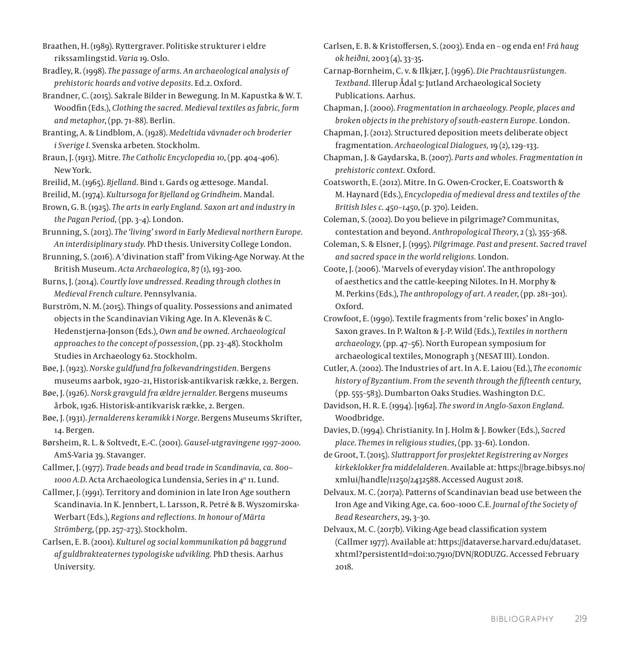Braathen, H. (1989). Ryttergraver. Politiske strukturer i eldre rikssamlingstid. *Varia* 19. Oslo.

Bradley, R. (1998). *The passage of arms. An archaeological analysis of prehistoric hoards and votive deposits.* Ed.2. Oxford.

Brandner, C. (2015). Sakrale Bilder in Bewegung. In M. Kapustka & W. T. Woodfin (Eds.), *Clothing the sacred. Medieval textiles as fabric, form and metaphor*, (pp. 71–88). Berlin.

Branting, A. & Lindblom, A. (1928). *Medeltida vävnader och broderier i Sverige I.* Svenska arbeten. Stockholm.

Braun, J. (1913). Mitre. *The Catholic Encyclopedia 10*, (pp. 404–406). New York.

Breilid, M. (1965). *Bjelland*. Bind 1. Gards og ættesoge. Mandal.

Breilid, M. (1974). *Kultursoga for Bjelland og Grindheim*. Mandal.

Brown, G. B. (1925). *The arts in early England. Saxon art and industry in the Pagan Period,* (pp. 3–4). London.

Brunning, S. (2013). *The 'living' sword in Early Medieval northern Europe. An interdisiplinary study.* PhD thesis. University College London.

Brunning, S. (2016). A 'divination staff' from Viking-Age Norway. At the British Museum. *Acta Archaeologica*, 87 (1), 193–200.

Burns, J. (2014). *Courtly love undressed. Reading through clothes in Medieval French culture*. Pennsylvania.

Burström, N. M. (2015). Things of quality. Possessions and animated objects in the Scandinavian Viking Age. In A. Klevenäs & C. Hedenstjerna-Jonson (Eds.), *Own and be owned. Archaeological approaches to the concept of possession*, (pp. 23–48). Stockholm Studies in Archaeology 62. Stockholm.

Bøe, J. (1923). *Norske guldfund fra folkevandringstiden.* Bergens museums aarbok, 1920–21, Historisk-antikvarisk række, 2. Bergen.

Bøe, J. (1926). *Norsk gravguld fra ældre jernalder*. Bergens museums årbok, 1926. Historisk-antikvarisk række, 2. Bergen.

Bøe, J. (1931). *Jernalderens keramikk i Norge*. Bergens Museums Skrifter, 14. Bergen.

Børsheim, R. L. & Soltvedt, E.-C. (2001). *Gausel-utgravingene 1997–2000*. AmS-Varia 39. Stavanger.

Callmer, J. (1977). *Trade beads and bead trade in Scandinavia, ca. 800–* 1000 A.D. Acta Archaeologica Lundensia, Series in 4º 11. Lund.

Callmer, J. (1991). Territory and dominion in late Iron Age southern Scandinavia. In K. Jennbert, L. Larsson, R. Petré & B. Wyszomirska-Werbart (Eds.), *Regions and reflections. In honour of Märta Strömberg*, (pp. 257–273). Stockholm.

Carlsen, E. B. (2001). *Kulturel og social kommunikation på baggrund af guldbrakteaternes typologiske udvikling.* PhD thesis. Aarhus University.

Carlsen, E. B. & Kristoffersen, S. (2003). Enda en – og enda en! *Frá haug ok heiðni,* 2003 (4), 33–35.

Carnap-Bornheim, C. v. & Ilkjær, J. (1996). *Die Prachtausrüstungen. Textband*. Illerup Ådal 5: Jutland Archaeological Society Publications. Aarhus.

Chapman, J. (2000). *Fragmentation in archaeology. People, places and broken objects in the prehistory of south-eastern Europe.* London.

Chapman, J. (2012). Structured deposition meets deliberate object fragmentation. *Archaeological Dialogues,* 19 (2), 129–133.

Chapman, J. & Gaydarska, B. (2007). *Parts and wholes. Fragmentation in prehistoric context.* Oxford.

Coatsworth, E. (2012). Mitre. In G. Owen-Crocker, E. Coatsworth & M. Haynard (Eds.), *Encyclopedia of medieval dress and textiles of the British Isles c. 450–1450*, (p. 370). Leiden.

Coleman, S. (2002). Do you believe in pilgrimage? Communitas, contestation and beyond. *Anthropological Theory*, 2 (3), 355–368.

Coleman, S. & Elsner, J. (1995). *Pilgrimage. Past and present. Sacred travel and sacred space in the world religions.* London.

Coote, J. (2006). 'Marvels of everyday vision'. The anthropology of aesthetics and the cattle-keeping Nilotes. In H. Morphy & M. Perkins (Eds.), *The anthropology of art. A reader*, (pp. 281–301). Oxford.

Crowfoot, E. (1990). Textile fragments from 'relic boxes' in Anglo-Saxon graves. In P. Walton & J.-P. Wild (Eds.), *Textiles in northern archaeology,* (pp. 47–56). North European symposium for archaeological textiles, Monograph 3 (NESAT III). London.

Cutler, A. (2002). The Industries of art. In A. E. Laiou (Ed.), *The economic history of Byzantium. From the seventh through the fifteenth century*, (pp. 555–583). Dumbarton Oaks Studies. Washington D.C.

Davidson, H. R. E. (1994). [1962]. *The sword in Anglo-Saxon England*. Woodbridge.

Davies, D. (1994). Christianity. In J. Holm & J. Bowker (Eds.), *Sacred place*. *Themes in religious studies*, (pp. 33–61). London.

de Groot, T. (2015). *Sluttrapport for prosjektet Registrering av Norges kirkeklokker fra middelalderen*. Available at: [https://brage.bibsys.no/](https://brage.bibsys.no/xmlui/handle/11250/2432588) [xmlui/handle/11250/2432588](https://brage.bibsys.no/xmlui/handle/11250/2432588). Accessed August 2018.

Delvaux. M. C. (2017a). Patterns of Scandinavian bead use between the Iron Age and Viking Age, ca. 600–1000 C.E. *Journal of the Society of Bead Researchers*, 29, 3–30.

Delvaux, M. C. (2017b). Viking-Age bead classification system (Callmer 1977). Available at: https://dataverse.harvard.edu/dataset. xhtml?persistentId=doi:10.7910/DVN/RODUZG. Accessed February 2018.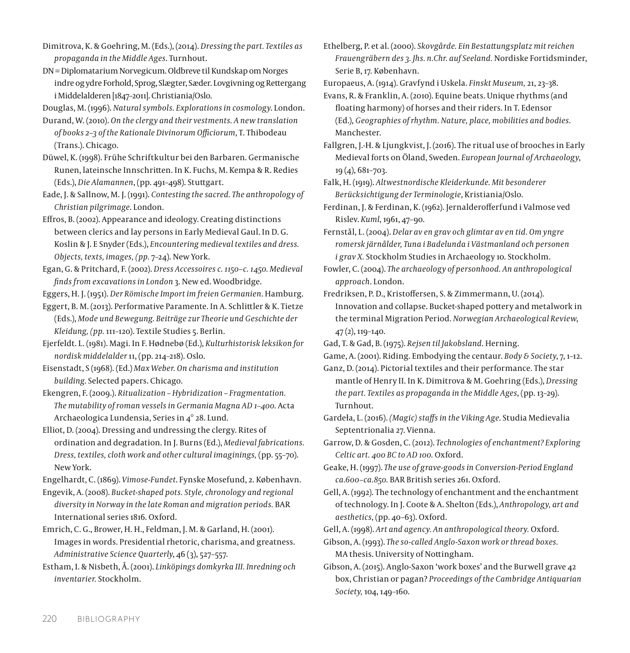[Dimitrova,](http://www.brepols.net/Pages/ShowAuthor.aspx?lid=129171) K. & [Goehring](http://www.brepols.net/Pages/ShowAuthor.aspx?lid=140194), M. (Eds.), (2014). *Dressing the part. Textiles as propaganda in the Middle Ages*. Turnhout.

DN = Diplomatarium Norvegicum. Oldbreve til Kundskap om Norges indre og ydre Forhold, Sprog, Slægter, Sæder. Lovgivning og Rettergang i Middelalderen [1847–2011]. Christiania/Oslo.

Douglas, M. (1996). *Natural symbols. Explorations in cosmology*. London.

Durand, W. (2010). *On the clergy and their vestments. A new translation of books 2–3 of the Rationale Divinorum Officiorum*, T. Thibodeau (Trans.). Chicago.

- Düwel, K. (1998). Frühe Schriftkultur bei den Barbaren. Germanische Runen, lateinsche Innschritten. In K. Fuchs, M. Kempa & R. Redies (Eds.), *Die Alamannen*, (pp. 491–498). Stuttgart.
- Eade, J. & Sallnow, M. J. (1991). *Contesting the sacred. The anthropology of Christian pilgrimage*. London.

Effros, B. (2002). Appearance and ideology. Creating distinctions between clerics and lay persons in Early Medieval Gaul. In D. G. Koslin & J. E Snyder (Eds.), *Encountering medieval textiles and dress. Objects, texts, images, (pp.* 7–24). New York.

Egan, G. & Pritchard, F. (2002). *Dress Accessoires c. 1150–c. 1450. Medieval finds from excavations in London* 3. New ed. Woodbridge.

Eggers, H. J. (1951). *Der Römische Import im freien Germanien*. Hamburg.

Eggert, B. M. (2013). Performative Paramente. In A. Schlittler & K. Tietze (Eds.), *Mode und Bewegung. Beiträge zur Theorie und Geschichte der Kleidung, (pp.* 111–120). Textile Studies 5. Berlin.

Ejerfeldt. L. (1981). Magi. In F. Hødnebø (Ed.), *Kulturhistorisk leksikon for nordisk middelalder* 11, (pp. 214–218). Oslo.

Eisenstadt, S (1968). (Ed.) *Max Weber. On charisma and institution building*. Selected papers. Chicago.

Ekengren, F. (2009.). *Ritualization – Hybridization – Fragmentation. The mutability of roman vessels in Germania Magna AD 1–400.* Acta Archaeologica Lundensia, Series in 4° 28. Lund.

Elliot, D. (2004). Dressing and undressing the clergy. Rites of ordination and degradation. In J. Burns (Ed.), *Medieval fabrications. Dress, textiles, cloth work and other cultural imaginings,* (pp. 55–70). New York.

Engelhardt, C. (1869). *Vimose-Fundet*. Fynske Mosefund, 2. København.

Engevik, A. (2008). *Bucket-shaped pots. Style, chronology and regional diversity in Norway in the late Roman and migration periods.* BAR International series 1816. Oxford.

Emrich, C. G., Brower, H. H., Feldman, J. M. & Garland, H. (2001). Images in words. Presidential rhetoric, charisma, and greatness. *Administrative Science Quarterly*, 46 (3), 527–557.

Estham, I. & Nisbeth, Å. (2001). *Linköpings domkyrka III. Inredning och inventarier.* Stockholm.

Ethelberg, P. et al. (2000). *Skovgårde. Ein Bestattungsplatz mit reichen Frauengräbern des 3. Jhs. n.Chr. auf Seeland.* Nordiske Fortidsminder, Serie B, 17. København.

Europaeus, A. (1914). Gravfynd i Uskela. *Finskt Museum,* 21, 23–38.

Evans, R. & Franklin, A. (2010). Equine beats. Unique rhythms (and floating harmony) of horses and their riders. In T. Edensor (Ed.), *Geographies of rhythm. Nature, place, mobilities and bodies*. Manchester.

Fallgren, J.-H. & Ljungkvist, J. (2016). The ritual use of brooches in Early Medieval forts on Öland, Sweden. *European Journal of Archaeology*, 19 (4), 681–703.

Falk, H. (1919). *Altwestnordische Kleiderkunde. Mit besonderer Berücksichtigung der Terminologie*, Kristiania/Oslo.

Ferdinan, J. & Ferdinan, K. (1962). Jernalderofferfund i Valmose ved Rislev. *Kuml*, 1961, 47–90.

Fernstål, L. (2004). *Delar av en grav och glimtar av en tid. Om yngre romersk järnålder, Tuna i Badelunda i Västmanland och personen i grav X.* Stockholm Studies in Archaeology 10. Stockholm.

Fowler, C. (2004). *The archaeology of personhood. An anthropological approach*. London.

Fredriksen, P. D., Kristoffersen, S. & Zimmermann, U. (2014). Innovation and collapse. Bucket-shaped pottery and metalwork in the terminal Migration Period. *Norwegian Archaeological Review*, 47 (2), 119–140.

Gad, T. & Gad, B. (1975). *Rejsen til Jakobsland*. Herning.

Game, A. (2001). Riding. Embodying the centaur. *Body & Society*, 7, 1–12.

Ganz, D. (2014). Pictorial textiles and their performance. The star mantle of Henry II. In K. Dimitrova & [M. Goehring](http://www.brepols.net/Pages/ShowAuthor.aspx?lid=140194) (Eds.), *Dressing the part. Textiles as propaganda in the Middle Ages*, (pp. 13–29). Turnhout.

Gardeła, L. (2016). *(Magic) staffs in the Viking Age*. Studia Medievalia Septentrionalia 27. Vienna.

Garrow, D. & Gosden, C. (2012). *Technologies of enchantment? Exploring Celtic art. 400 BC to AD 100.* Oxford.

Geake, H. (1997). *The use of grave-goods in Conversion-Period England ca.600–ca.850.* BAR British series 261. Oxford.

Gell, A. (1992). The technology of enchantment and the enchantment of technology. In J. Coote & A. Shelton (Eds.), *Anthropology, art and aesthetics*, (pp. 40–63). Oxford.

Gell, A. (1998). *Art and agency. An anthropological theory.* Oxford.

Gibson, A. (1993). *The so-called Anglo-Saxon work or thread boxes.* MA thesis. University of Nottingham.

Gibson, A. (2015). Anglo-Saxon 'work boxes' and the Burwell grave 42 box, Christian or pagan? *Proceedings of the Cambridge Antiquarian Society,* 104, 149–160.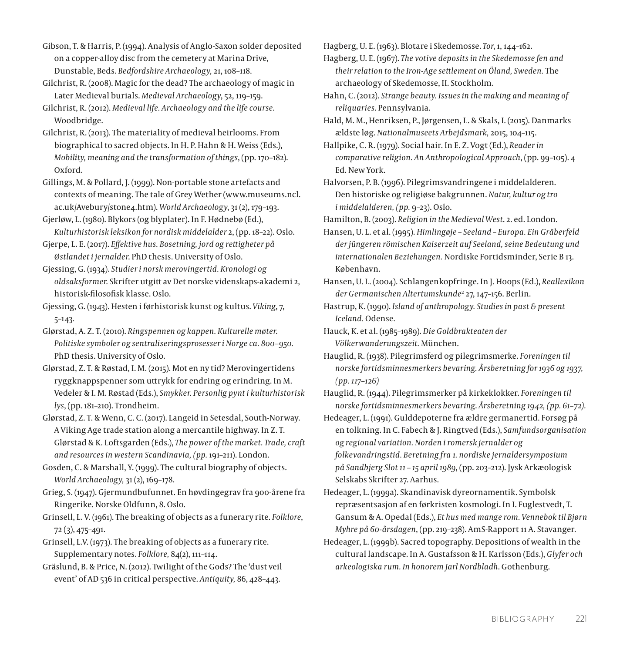Gibson, T. & Harris, P. (1994). Analysis of Anglo-Saxon solder deposited on a copper-alloy disc from the cemetery at Marina Drive, Dunstable, Beds. *Bedfordshire Archaeology,* 21, 108–118.

Gilchrist, R. (2008). Magic for the dead? The archaeology of magic in Later Medieval burials. *Medieval Archaeology*, 52, 119–159.

Gilchrist, R. (2012). *Medieval life. Archaeology and the life course*. Woodbridge.

Gilchrist, R. (2013). The materiality of medieval heirlooms. From biographical to sacred objects. In H. P. Hahn & H. Weiss (Eds.), *Mobility, meaning and the transformation of things*, (pp. 170–182). Oxford.

Gillings, M. & Pollard, J. (1999). Non-portable stone artefacts and contexts of meaning. The tale of Grey Wether [\(www.museums.ncl.](http://www.museums.ncl.ac.uk/Avebury/stone4.htm) [ac.uk/Avebury/stone4.htm](http://www.museums.ncl.ac.uk/Avebury/stone4.htm)). *World Archaeology*, 31 (2), 179–193.

Gjerløw, L. (1980). Blykors (og blyplater). In F. Hødnebø (Ed.), *Kulturhistorisk leksikon for nordisk middelalder* 2, (pp. 18–22). Oslo.

Gjerpe, L. E. (2017). *Effektive hus. Bosetning, jord og rettigheter på Østlandet i jernalder*. PhD thesis. University of Oslo.

Gjessing, G. (1934). *Studier i norsk merovingertid. Kronologi og oldsaksformer*. Skrifter utgitt av Det norske videnskaps-akademi 2, historisk-filosofisk klasse. Oslo.

Gjessing, G. (1943). Hesten i førhistorisk kunst og kultus. *Viking*, 7, 5–143.

Glørstad, A. Z. T. (2010). *Ringspennen og kappen. Kulturelle møter. Politiske symboler og sentraliseringsprosesser i Norge ca. 800–950.* PhD thesis. University of Oslo.

Glørstad, Z. T. & Røstad, I. M. (2015). Mot en ny tid? Merovingertidens ryggknappspenner som uttrykk for endring og erindring. In M. Vedeler & I. M. Røstad (Eds.), *Smykker. Personlig pynt i kulturhistorisk lys*, (pp. 181–210). Trondheim.

Glørstad, Z. T. & Wenn, C. C. (2017). Langeid in Setesdal, South-Norway. A Viking Age trade station along a mercantile highway. In Z. T. Glørstad & K. Loftsgarden (Eds.), *The power of the market. Trade, craft and resources in western Scandinavia, (pp.* 191–211). London.

Gosden, C. & Marshall, Y. (1999). The cultural biography of objects. *World Archaeology,* 31 (2), 169–178.

Grieg, S. (1947). Gjermundbufunnet. En høvdingegrav fra 900-årene fra Ringerike. Norske Oldfunn, 8. Oslo.

Grinsell, L. V. (1961). The breaking of objects as a funerary rite. *Folklore*, 72 (3), 475–491.

Grinsell, L.V. (1973). The breaking of objects as a funerary rite. Supplementary notes. *Folklore,* 84(2), 111–114.

Gräslund, B. & Price, N. (2012). Twilight of the Gods? The 'dust veil event' of AD 536 in critical perspective. *Antiquity,* 86, 428–443.

Hagberg, U. E. (1963). Blotare i Skedemosse. *Tor*, 1, 144–162.

Hagberg, U. E. (1967). *The votive deposits in the Skedemosse fen and their relation to the Iron-Age settlement on Öland, Sweden.* The archaeology of Skedemosse, II. Stockholm.

Hahn, C. (2012). *Strange beauty. Issues in the making and meaning of reliquaries*. Pennsylvania.

Hald, M. M., Henriksen, P., Jørgensen, L. & Skals, I. (2015). Danmarks ældste løg. *Nationalmuseets Arbejdsmark,* 2015, 104–115.

Hallpike, C. R. (1979). Social hair. In E. Z. Vogt (Ed.), *Reader in comparative religion. An Anthropological Approach*, (pp. 99–105). 4 Ed. New York.

Halvorsen, P. B. (1996). Pilegrimsvandringene i middelalderen. Den historiske og religiøse bakgrunnen. *Natur, kultur og tro i middelalderen, (pp.* 9–23). Oslo.

Hamilton, B. (2003). *Religion in the Medieval West*. 2. ed. London.

Hansen, U. L. et al. (1995). *Himlingøje – Seeland – Europa. Ein Gräberfeld der jüngeren römischen Kaiserzeit auf Seeland, seine Bedeutung und internationalen Beziehungen.* Nordiske Fortidsminder, Serie B 13. København.

Hansen, U. L. (2004). Schlangenkopfringe. In J. Hoops (Ed.), *Reallexikon der Germanischen Altertumskunde*<sup>2</sup> 27, 147–156. Berlin.

Hastrup, K. (1990). *Island of anthropology. Studies in past & present Iceland.* Odense.

Hauck, K. et al. (1985–1989). *Die Goldbrakteaten der Völkerwanderungszeit.* München.

Hauglid, R. (1938). Pilegrimsferd og pilegrimsmerke. *Foreningen til norske fortidsminnesmerkers bevaring. Årsberetning for 1936 og 1937, (pp. 117–126)*

Hauglid, R. (1944). Pilegrimsmerker på kirkeklokker. *Foreningen til norske fortidsminnesmerkers bevaring*. *Årsberetning 1942, (pp. 61–72).*

Hedeager, L. (1991). Gulddepoterne fra ældre germanertid. Forsøg på en tolkning. In C. Fabech & J. Ringtved (Eds.), *Samfundsorganisation og regional variation. Norden i romersk jernalder og folkevandringstid. Beretning fra 1. nordiske jernaldersymposium på Sandbjerg Slot 11 – 15 april 1989*, (pp. 203–212). Jysk Arkæologisk Selskabs Skrifter 27. Aarhus.

Hedeager, L. (1999a). Skandinavisk dyreornamentik. Symbolsk repræsentsasjon af en førkristen kosmologi. In I. Fuglestvedt, T. Gansum & A. Opedal (Eds.), *Et hus med mange rom. Vennebok til Bjørn Myhre på 60-årsdagen*, (pp. 219–238). AmS-Rapport 11 A. Stavanger.

Hedeager, L. (1999b). Sacred topography. Depositions of wealth in the cultural landscape. In A. Gustafsson & H. Karlsson (Eds.), *Glyfer och arkeologiska rum. In honorem Jarl Nordbladh*. Gothenburg.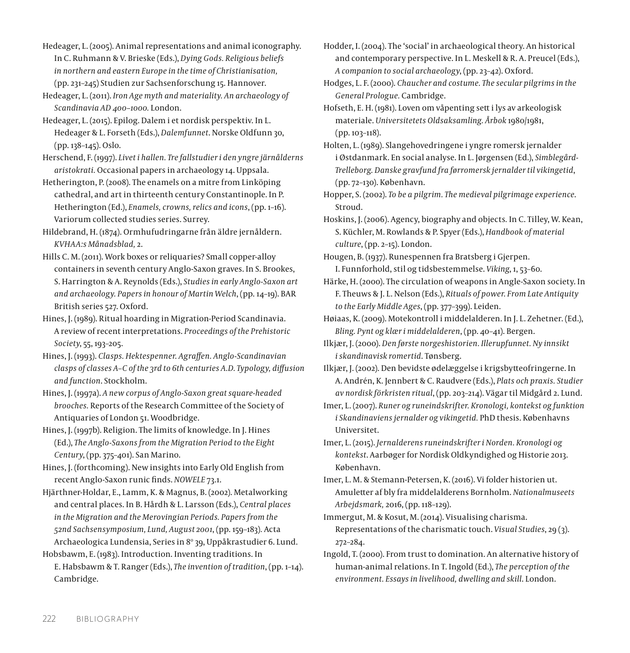Hedeager, L. (2005). Animal representations and animal iconography. In C. Ruhmann & V. Brieske (Eds.), *Dying Gods. Religious beliefs in northern and eastern Europe in the time of Christianisation,*  (pp. 231–245) Studien zur Sachsenforschung 15. Hannover.

Hedeager, L. (2011). *Iron Age myth and materiality. An archaeology of Scandinavia AD 400–1000.* London.

Hedeager, L. (2015). Epilog. Dalem i et nordisk perspektiv. In L. Hedeager & L. Forseth (Eds.), *Dalemfunnet*. Norske Oldfunn 30, (pp. 138–145). Oslo.

Herschend, F. (1997). *Livet i hallen. Tre fallstudier i den yngre järnålderns aristokrati.* Occasional papers in archaeology 14. Uppsala.

Hetherington, P. (2008). The enamels on a mitre from Linköping cathedral, and art in thirteenth century Constantinople. In P. Hetherington (Ed.), *Enamels, crowns, relics and icons*, (pp. 1–16). Variorum collected studies series. Surrey.

Hildebrand, H. (1874). Ormhufudringarne från äldre jernåldern. *KVHAA:s Månadsblad,* 2.

Hills C. M. (2011). Work boxes or reliquaries? Small copper-alloy containers in seventh century Anglo-Saxon graves. In S. Brookes, S. Harrington & A. Reynolds (Eds.), *Studies in early Anglo-Saxon art and archaeology. Papers in honour of Martin Welch*, (pp. 14–19). BAR British series 527. Oxford.

Hines, J. (1989). Ritual hoarding in Migration-Period Scandinavia. A review of recent interpretations. *Proceedings of the Prehistoric Society*, 55, 193–205.

Hines, J. (1993). *Clasps. Hektespenner. Agraffen. Anglo-Scandinavian clasps of classes A–C of the 3rd to 6th centuries A.D. Typology, diffusion and function*. Stockholm.

Hines, J. (1997a). *A new corpus of Anglo-Saxon great square-headed brooches.* Reports of the Research Committee of the Society of Antiquaries of London 51. Woodbridge.

Hines, J. (1997b). Religion. The limits of knowledge. In J. Hines (Ed.), *The Anglo-Saxons from the Migration Period to the Eight Century*, (pp. 375–401). San Marino.

Hines, J. (forthcoming). New insights into Early Old English from recent Anglo-Saxon runic finds. *NOWELE* 73.1.

Hjärthner-Holdar, E., Lamm, K. & Magnus, B. (2002). Metalworking and central places. In B. Hårdh & L. Larsson (Eds.), *Central places in the Migration and the Merovingian Periods. Papers from the 52nd Sachsensymposium, Lund, August 2001*, (pp. 159–183)*.* Acta Archaeologica Lundensia, Series in 8º 39, Uppåkrastudier 6. Lund.

Hobsbawm, E. (1983). Introduction. Inventing traditions. In E. Habsbawm & T. Ranger (Eds.), *The invention of tradition*, (pp. 1–14). Cambridge.

Hodder, I. (2004). The 'social' in archaeological theory. An historical and contemporary perspective. In L. Meskell & R. A. Preucel (Eds.), *A companion to social archaeology*, (pp. 23–42). Oxford.

Hodges, L. F. (2000). *Chaucher and costume. The secular pilgrims in the General Prologue.* Cambridge.

Hofseth, E. H. (1981). Loven om våpenting sett i lys av arkeologisk materiale. *Universitetets Oldsaksamling. Årbok* 1980/1981, (pp. 103–118).

Holten, L. (1989). Slangehovedringene i yngre romersk jernalder i Østdanmark. En social analyse. In L. Jørgensen (Ed.), *Simblegård-Trelleborg. Danske gravfund fra førromersk jernalder til vikingetid*, (pp. 72–130). København.

Hopper, S. (2002). *To be a pilgrim. The medieval pilgrimage experience*. Stroud.

Hoskins, J. (2006). Agency, biography and objects*.* In C. Tilley, W. Kean, S. Küchler, M. Rowlands & P. Spyer (Eds.), *Handbook of material culture*, (pp. 2–15). London.

Hougen, B. (1937). Runespennen fra Bratsberg i Gjerpen. I. Funnforhold, stil og tidsbestemmelse. *Viking*, 1, 53–60.

Härke, H. (2000). The circulation of weapons in Angle-Saxon society. In F. Theuws & J. L. Nelson (Eds.), *Rituals of power. From Late Antiquity to the Early Middle Ages*, (pp. 377–399). Leiden.

Høiaas, K. (2009). Motekontroll i middelalderen. In J. L. Zehetner. (Ed.), *Bling. Pynt og klær i middelalderen*, (pp. 40–41). Bergen.

Ilkjær, J. (2000). *Den første norgeshistorien. Illerupfunnet. Ny innsikt i skandinavisk romertid*. Tønsberg.

Ilkjær, J. (2002). Den bevidste ødelæggelse i krigsbytteofringerne. In A. Andrén, K. Jennbert & C. Raudvere (Eds.), *Plats och praxis. Studier av nordisk förkristen ritual*, (pp. 203–214). Vägar til Midgård 2. Lund.

Imer, L. (2007). *Runer og runeindskrifter. Kronologi, kontekst og funktion i Skandinaviens jernalder og vikingetid.* PhD thesis. Københavns Universitet.

Imer, L. (2015). *Jernalderens runeindskrifter i Norden. Kronologi og kontekst*. Aarbøger for Nordisk Oldkyndighed og Historie 2013. København.

Imer, L. M. & Stemann-Petersen, K. (2016). Vi folder historien ut. Amuletter af bly fra middelalderens Bornholm. *Nationalmuseets Arbejdsmark,* 2016, (pp. 118–129).

Immergut, M. & Kosut, M. (2014). Visualising charisma. Representations of the charismatic touch. *Visual Studies*, 29 (3). 272–284.

Ingold, T. (2000). From trust to domination. An alternative history of human-animal relations. In T. Ingold (Ed.), *The perception of the environment. Essays in livelihood, dwelling and skill*. London.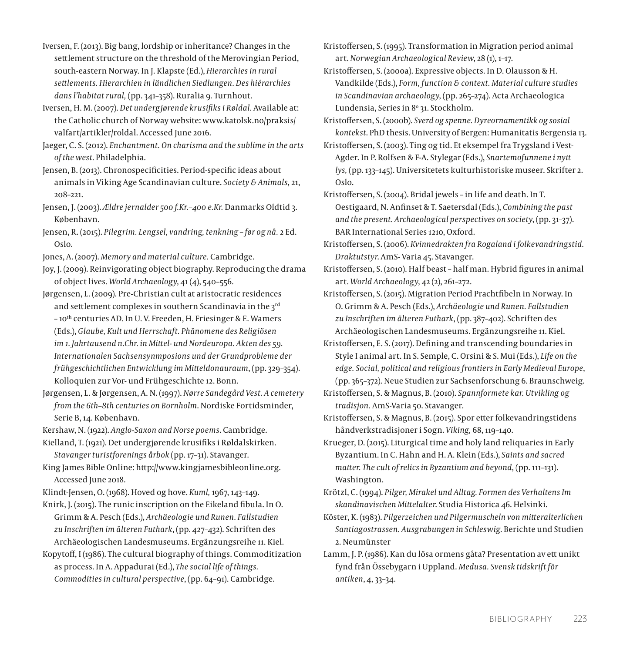- Iversen, F. (2013). Big bang, lordship or inheritance? Changes in the settlement structure on the threshold of the Merovingian Period, south-eastern Norway. In J. Klapste (Ed.), *Hierarchies in rural settlements. Hierarchien in ländlichen Siedlungen. Des hiérarchies dans l'habitat rural,* (pp. 341–358). Ruralia 9*.* Turnhout.
- Iversen, H. M. (2007). *Det undergjørende krusifiks i Røldal.* Available at: the Catholic church of Norway website: www.katolsk.no/praksis/ valfart/artikler/roldal. Accessed June 2016.
- Jaeger, C. S. (2012). *Enchantment. On charisma and the sublime in the arts of the west*. Philadelphia.
- Jensen, B. (2013). Chronospecificities. Period-specific ideas about animals in Viking Age Scandinavian culture. *Society & Animals*, 21, 208–221.
- Jensen, J. (2003). *Ældre jernalder 500 f.Kr.–400 e.Kr.* Danmarks Oldtid 3. København.
- Jensen, R. (2015). *Pilegrim. Lengsel, vandring, tenkning før og nå.* 2 Ed. Oslo.
- Jones, A. (2007). *Memory and material culture.* Cambridge.
- Joy, J. (2009). Reinvigorating object biography. Reproducing the drama of object lives. *World Archaeology*, 41 (4), 540–556.
- Jørgensen, L. (2009). Pre-Christian cult at aristocratic residences and settlement complexes in southern Scandinavia in the  $3^{rd}$ – 10th centuries AD. In U. V. Freeden, H. Friesinger & E. Wamers (Eds.), *Glaube, Kult und Herrschaft. Phänomene des Religiösen im 1. Jahrtausend n.Chr. in Mittel- und Nordeuropa. Akten des 59. Internationalen Sachsensynmposions und der Grundprobleme der frühgeschichtlichen Entwicklung im Mitteldonauraum*, (pp. 329–354). Kolloquien zur Vor- und Frühgeschichte 12. Bonn.
- Jørgensen, L. & Jørgensen, A. N. (1997). *Nørre Sandegård Vest. A cemetery from the 6th–8th centuries on Bornholm*. Nordiske Fortidsminder, Serie B, 14. København.
- Kershaw, N. (1922). *Anglo-Saxon and Norse poems*. Cambridge.
- Kielland, T. (1921). Det undergjørende krusifiks i Røldalskirken. *Stavanger turistforenings årbok* (pp. 17–31). Stavanger.
- King James Bible Online: http://www.kingjamesbibleonline.org. Accessed June 2018.
- Klindt-Jensen, O. (1968). Hoved og hove. *Kuml,* 1967, 143–149.
- Knirk, J. (2015). The runic inscription on the Eikeland fibula. In O. Grimm & A. Pesch (Eds.), *Archäeologie und Runen. Fallstudien zu Inschriften im älteren Futhark*, (pp. 427–432). Schriften des Archäeologischen Landesmuseums. Ergänzungsreihe 11. Kiel.
- Kopytoff, I (1986). The cultural biography of things. Commoditization as process. In A. Appadurai (Ed.), *The social life of things. Commodities in cultural perspective*, (pp. 64–91). Cambridge.

Kristoffersen, S. (1995). Transformation in Migration period animal art. *Norwegian Archaeological Review*, 28 (1), 1–17.

Kristoffersen, S. (2000a). Expressive objects. In D. Olausson & H. Vandkilde (Eds.), *Form, function & context. Material culture studies in Scandinavian archaeology*, (pp. 265–274). Acta Archaeologica Lundensia, Series in 8º 31. Stockholm.

Kristoffersen, S. (2000b). *Sverd og spenne. Dyreornamentikk og sosial kontekst*. PhD thesis. University of Bergen: Humanitatis Bergensia 13.

- Kristoffersen, S. (2003). Ting og tid. Et eksempel fra Trygsland i Vest-Agder. In P. Rolfsen & F-A. Stylegar (Eds.), *Snartemofunnene i nytt lys,* (pp. 133–145). Universitetets kulturhistoriske museer. Skrifter 2. Oslo.
- Kristoffersen, S. (2004). Bridal jewels in life and death. In T. Oestigaard, N. Anfinset & T. Saetersdal (Eds.), *Combining the past and the present. Archaeological perspectives on society*, (pp. 31–37). BAR International Series 1210, Oxford.
- Kristoffersen, S. (2006). *Kvinnedrakten fra Rogaland i folkevandringstid. Draktutstyr*. AmS- Varia 45. Stavanger.
- Kristoffersen, S. (2010). Half beast half man. Hybrid figures in animal art. *World Archaeology*, 42 (2), 261–272.
- Kristoffersen, S. (2015). Migration Period Prachtfibeln in Norway. In O. Grimm & A. Pesch (Eds.), *Archäeologie und Runen. Fallstudien zu Inschriften im älteren Futhark*, (pp. 387–402). Schriften des Archäeologischen Landesmuseums. Ergänzungsreihe 11. Kiel.
- Kristoffersen, E. S. (2017). Defining and transcending boundaries in Style I animal art. In S. Semple, C. Orsini & S. Mui (Eds.), *Life on the edge. Social, political and religious frontiers in Early Medieval Europe*, (pp. 365–372). Neue Studien zur Sachsenforschung 6. Braunschweig.

Kristoffersen, S. & Magnus, B. (2010). *Spannformete kar. Utvikling og tradisjon.* AmS-Varia 50. Stavanger.

Kristoffersen, S. & Magnus, B. (2015). Spor etter folkevandringstidens håndverkstradisjoner i Sogn. *Viking,* 68, 119–140.

Krueger, D. (2015). Liturgical time and holy land reliquaries in Early Byzantium. In C. Hahn and H. A. Klein (Eds.), *Saints and sacred matter. The cult of relics in Byzantium and beyond*, (pp. 111–131). Washington.

Krötzl, C. (1994). *Pilger, Mirakel und Alltag. Formen des Verhaltens Im skandinavischen Mittelalter*. Studia Historica 46. Helsinki.

- Köster, K. (1983). *Pilgerzeichen und Pilgermuscheln von mitteralterlichen Santiagostrassen. Ausgrabungen in Schleswig*. Berichte und Studien 2. Neumünster
- Lamm, J. P. (1986). Kan du lösa ormens gåta? Presentation av ett unikt fynd från Össebygarn i Uppland. *Medusa. Svensk tidskrift för antiken*, 4, 33–34.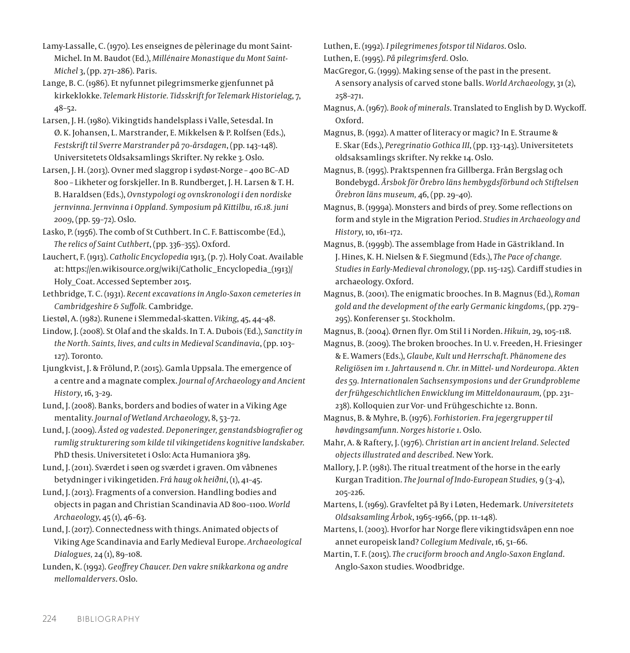Lamy-Lassalle, C. (1970). Les enseignes de pèlerinage du mont Saint-Michel. In M. Baudot (Ed.), *Millénaire Monastique du Mont Saint-Michel* 3, (pp. 271–286). Paris.

Lange, B. C. (1986). Et nyfunnet pilegrimsmerke gjenfunnet på kirkeklokke. *Telemark Historie. Tidsskrift for Telemark Historielag*, 7, 48–52.

Larsen, J. H. (1980). Vikingtids handelsplass i Valle, Setesdal. In Ø. K. Johansen, L. Marstrander, E. Mikkelsen & P. Rolfsen (Eds.), *Festskrift til Sverre Marstrander på 70-årsdagen*, (pp. 143–148). Universitetets Oldsaksamlings Skrifter. Ny rekke 3. Oslo.

Larsen, J. H. (2013). Ovner med slaggrop i sydøst-Norge – 400 BC–AD 800 – Likheter og forskjeller. In B. Rundberget, J. H. Larsen & T. H. B. Haraldsen (Eds.), *Ovnstypologi og ovnskronologi i den nordiske jernvinna. Jernvinna i Oppland. Symposium på Kittilbu, 16.18. juni 2009*, (pp. 59–72). Oslo.

Lasko, P. (1956). The comb of St Cuthbert. In C. F. Battiscombe (Ed.), *The relics of Saint Cuthbert*, (pp. 336–355). Oxford.

Lauchert, F. (1913). *Catholic Encyclopedia* 1913, (p. 7). Holy Coat. Available at: https://en.wikisource.org/wiki/Catholic\_Encyclopedia\_(1913)/ Holy\_Coat. Accessed September 2015.

Lethbridge, T. C. (1931). *Recent excavations in Anglo-Saxon cemeteries in Cambridgeshire & Suffolk.* Cambridge.

Liestøl, A. (1982). Runene i Slemmedal-skatten. *Viking*, 45, 44–48.

Lindow, J. (2008). St Olaf and the skalds. In T. A. Dubois (Ed.), *Sanctity in the North. Saints, lives, and cults in Medieval Scandinavia*, (pp. 103– 127). Toronto.

Ljungkvist, J. & Frölund, P. (2015). Gamla Uppsala. The emergence of a centre and a magnate complex. *Journal of Archaeology and Ancient History*, 16, 3–29.

Lund, J. (2008). Banks, borders and bodies of water in a Viking Age mentality. *Journal of Wetland Archaeology*, 8, 53–72.

Lund, J. (2009). *Åsted og vadested. Deponeringer, genstandsbiografier og rumlig strukturering som kilde til vikingetidens kognitive landskaber*. PhD thesis. Universitetet i Oslo: Acta Humaniora 389.

Lund, J. (2011). Sværdet i søen og sværdet i graven. Om våbnenes betydninger i vikingetiden. *Frá haug ok heiðni*, (1), 41–45.

Lund, J. (2013). Fragments of a conversion. Handling bodies and objects in pagan and Christian Scandinavia AD 800–1100. *World Archaeology*, 45 (1), 46–63.

Lund, J. (2017). Connectedness with things. Animated objects of Viking Age Scandinavia and Early Medieval Europe. *Archaeological Dialogues,* 24 (1), 89–108.

Lunden, K. (1992). *Geoffrey Chaucer. Den vakre snikkarkona og andre mellomaldervers*. Oslo.

Luthen, E. (1992). *I pilegrimenes fotspor til Nidaros*. Oslo. Luthen, E. (1995). *På pilegrimsferd.* Oslo.

MacGregor, G. (1999). Making sense of the past in the present. A sensory analysis of carved stone balls. *World Archaeology*, 31 (2), 258–271.

Magnus, A. (1967). *Book of minerals*. Translated to English by D. Wyckoff. Oxford.

Magnus, B. (1992). A matter of literacy or magic? In E. Straume & E. Skar (Eds.), *Peregrinatio Gothica III*, (pp. 133–143). Universitetets oldsaksamlings skrifter. Ny rekke 14. Oslo.

Magnus, B. (1995). Praktspennen fra Gillberga. Från Bergslag och Bondebygd. *Årsbok för Örebro läns hembygdsförbund och Stiftelsen Örebron läns museum,* 46, (pp. 29–40).

Magnus, B. (1999a). Monsters and birds of prey. Some reflections on form and style in the Migration Period. *Studies in Archaeology and History*, 10, 161–172.

Magnus, B. (1999b). The assemblage from Hade in Gästrikland. In J. Hines, K. H. Nielsen & F. Siegmund (Eds.), *The Pace of change. Studies in Early-Medieval chronology*, (pp. 115–125)*.* Cardiff studies in archaeology. Oxford.

Magnus, B. (2001). The enigmatic brooches. In B. Magnus (Ed.), *Roman gold and the development of the early Germanic kingdoms*, (pp. 279– 295). Konferenser 51. Stockholm.

Magnus, B. (2004). Ørnen flyr. Om Stil I i Norden. *Hikuin,* 29, 105–118.

Magnus, B. (2009). The broken brooches. In U. v. Freeden, H. Friesinger & E. Wamers (Eds.), *Glaube, Kult und Herrschaft. Phänomene des Religiösen im 1. Jahrtausend n. Chr. in Mittel- und Nordeuropa. Akten des 59. Internationalen Sachsensymposions und der Grundprobleme der frühgeschichtlichen Enwicklung im Mitteldonauraum,* (pp. 231– 238). Kolloquien zur Vor- und Frühgeschichte 12. Bonn.

Magnus, B. & Myhre, B. (1976). *Forhistorien. Fra jegergrupper til høvdingsamfunn. Norges historie 1.* Oslo.

Mahr, A. & Raftery, J. (1976). *Christian art in ancient Ireland. Selected objects illustrated and described.* New York.

Mallory, J. P. (1981). The ritual treatment of the horse in the early Kurgan Tradition. *The Journal of Indo-European Studies,* 9 (3–4), 205–226.

Martens, I. (1969). Gravfeltet på By i Løten, Hedemark. *Universitetets Oldsaksamling Årbok*, 1965–1966, (pp. 11–148).

Martens, I. (2003). Hvorfor har Norge flere vikingtidsvåpen enn noe annet europeisk land? *Collegium Medivale*, 16, 51–66.

Martin, T. F. (2015). *The cruciform brooch and Anglo-Saxon England*. Anglo-Saxon studies. Woodbridge.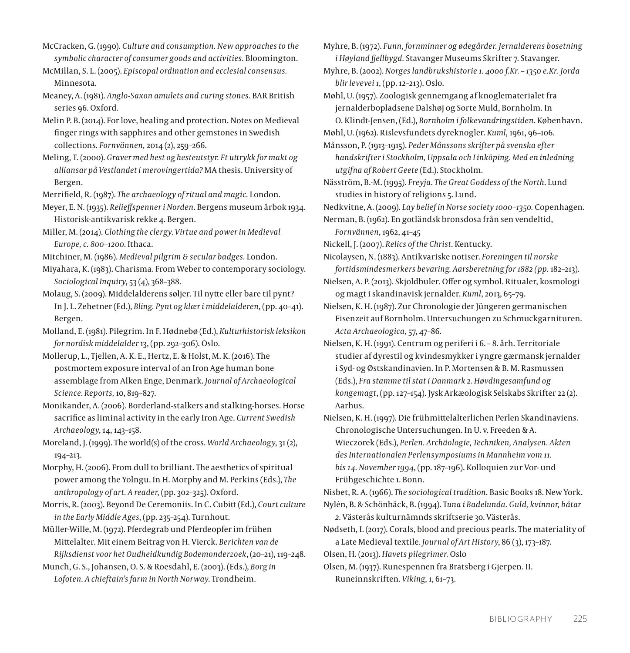- McCracken, G. (1990). *Culture and consumption. New approaches to the symbolic character of consumer goods and activities.* Bloomington.
- McMillan, S. L. (2005). *Episcopal ordination and ecclesial consensus.* Minnesota.
- Meaney, A. (1981). *Anglo-Saxon amulets and curing stones.* BAR British series 96. Oxford.
- Melin P. B. (2014). For love, healing and protection. Notes on Medieval finger rings with sapphires and other gemstones in Swedish collections*. Fornvännen,* 2014 (2), 259–266.
- Meling, T. (2000). *Graver med hest og hesteutstyr. Et uttrykk for makt og alliansar på Vestlandet i merovingertida?* MA thesis. University of Bergen.
- Merrifield, R. (1987). *The archaeology of ritual and magic.* London.
- Meyer, E. N. (1935). *Relieffspenner i Norden*. Bergens museum årbok 1934. Historisk-antikvarisk rekke 4. Bergen.
- Miller, M. (2014). *Clothing the clergy. Virtue and power in Medieval Europe, c. 800–1200*. Ithaca.
- Mitchiner, M. (1986). *Medieval pilgrim & secular badges.* London.
- Miyahara, K. (1983). Charisma. From Weber to contemporary sociology. *Sociological Inquiry*, 53 (4), 368–388.
- Molaug, S. (2009). Middelalderens søljer. Til nytte eller bare til pynt? In J. L. Zehetner (Ed.), *Bling. Pynt og klær i middelalderen*, (pp. 40–41). Bergen.
- Molland, E. (1981). Pilegrim. In F. Hødnebø (Ed.), *Kulturhistorisk leksikon for nordisk middelalder* 13, (pp. 292–306). Oslo.
- Mollerup, L., Tjellen, A. K. E., Hertz, E. & Holst, M. K. (2016). The postmortem exposure interval of an Iron Age human bone assemblage from Alken Enge, Denmark. *Journal of Archaeological Science*. *Reports,* 10, 819–827.
- Monikander, A. (2006). Borderland-stalkers and stalking-horses. Horse sacrifice as liminal activity in the early Iron Age. *Current Swedish Archaeology*, 14, 143–158.
- Moreland, J. (1999). The world(s) of the cross. *World Archaeology*, 31 (2), 194–213.
- Morphy, H. (2006). From dull to brilliant. The aesthetics of spiritual power among the Yolngu. In H. Morphy and M. Perkins (Eds.), *The anthropology of art. A reader*, (pp. 302–325). Oxford.
- Morris, R. (2003). Beyond De Ceremoniis. In C. Cubitt (Ed.), *Court culture in the Early Middle Ages*, (pp. 235–254). Turnhout.
- Müller-Wille, M. (1972). Pferdegrab und Pferdeopfer im frühen Mittelalter. Mit einem Beitrag von H. Vierck. *Berichten van de Rijksdienst voor het Oudheidkundig Bodemonderzoek*, (20–21), 119–248.
- Munch, G. S., Johansen, O. S. & Roesdahl, E. (2003). (Eds.), *Borg in Lofoten. A chieftain's farm in North Norway*. Trondheim.

Myhre, B. (1972). *Funn, fornminner og ødegårder. Jernalderens bosetning i Høyland fjellbygd.* Stavanger Museums Skrifter 7. Stavanger.

Myhre, B. (2002). *Norges landbrukshistorie 1. 4000 f.Kr. – 1350 e.Kr. Jorda blir levevei 1*, (pp. 12–213). Oslo.

Møhl, U. (1957). Zoologisk gennemgang af knoglematerialet fra jernalderbopladsene Dalshøj og Sorte Muld, Bornholm. In O. Klindt-Jensen, (Ed.), *Bornholm i folkevandringstiden*. København.

Møhl, U. (1962). Rislevsfundets dyreknogler. *Kuml*, 1961, 96–106.

Månsson, P. (1913–1915). *Peder Månssons skrifter på svenska efter handskrifter i Stockholm, Uppsala och Linköping. Med en inledning utgifna af Robert Geete* (Ed.). Stockholm.

Näsström, B.-M. (1995). *Freyja. The Great Goddess of the North*. Lund studies in history of religions 5. Lund.

Nedkvitne, A. (2009). *Lay belief in Norse society 1000–1350.* Copenhagen. Nerman, B. (1962). En gotländsk bronsdosa från sen vendeltid,

*Fornvännen*, 1962, 41–45

Nickell, J. (2007). *Relics of the Christ*. Kentucky.

Nicolaysen, N. (1883). Antikvariske notiser. *Foreningen til norske fortidsmindesmerkers bevaring. Aarsberetning for 1882 (pp.* 182–213).

- Nielsen, A. P. (2013). Skjoldbuler. Offer og symbol. Ritualer, kosmologi og magt i skandinavisk jernalder. *Kuml*, 2013, 65–79.
- Nielsen, K. H. (1987). Zur Chronologie der Jüngeren germanischen Eisenzeit auf Bornholm. Untersuchungen zu Schmuckgarnituren. *Acta Archaeologica,* 57, 47–86.
- Nielsen, K. H. (1991). Centrum og periferi i 6. 8. årh. Territoriale studier af dyrestil og kvindesmykker i yngre gærmansk jernalder i Syd- og Østskandinavien. In P. Mortensen & B. M. Rasmussen (Eds.), *Fra stamme til stat i Danmark 2. Høvdingesamfund og kongemagt*, (pp. 127–154). Jysk Arkæologisk Selskabs Skrifter 22 (2). Aarhus.
- Nielsen, K. H. (1997). Die frühmittelalterlichen Perlen Skandinaviens. Chronologische Untersuchungen. In U. v. Freeden & A. Wieczorek (Eds.), *Perlen. Archäologie, Techniken, Analysen. Akten des Internationalen Perlensymposiums in Mannheim vom 11. bis 14. November 1994*, (pp. 187–196). Kolloquien zur Vor- und Frühgeschichte 1. Bonn.

Nisbet, R. A. (1966). *The sociological tradition*. Basic Books 18. New York.

- Nylén, B. & Schönbäck, B. (1994). T*una i Badelunda. Guld, kvinnor, båtar 2.* Västerås kulturnämnds skriftserie 30. Västerås.
- Nødseth, I. (2017). Corals, blood and precious pearls. The materiality of a Late Medieval textile. *Journal of Art History*, 86 (3), 173–187.
- Olsen, H. (2013). *Havets pilegrimer.* Oslo
- Olsen, M. (1937). Runespennen fra Bratsberg i Gjerpen. II. Runeinnskriften. *Viking*, 1, 61–73.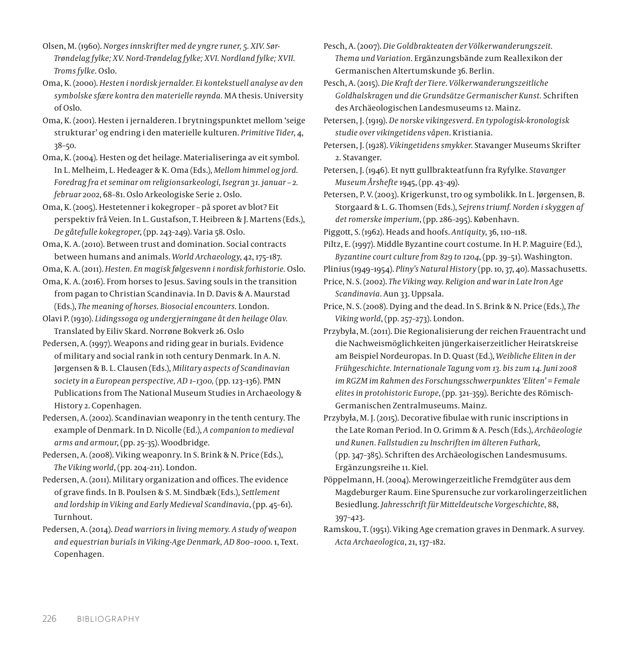Olsen, M. (1960). *Norges innskrifter med de yngre runer, 5. XIV. Sør-Trøndelag fylke; XV. Nord-Trøndelag fylke; XVI. Nordland fylke; XVII. Troms fylke*. Oslo.

Oma, K. (2000). *Hesten i nordisk jernalder. Ei kontekstuell analyse av den symbolske sfære kontra den materielle røynda.* MA thesis. University of Oslo.

Oma, K. (2001). Hesten i jernalderen. I brytningspunktet mellom 'seige strukturar' og endring i den materielle kulturen. *Primitive Tider*, 4, 38–50.

Oma, K. (2004). Hesten og det heilage. Materialiseringa av eit symbol. In L. Melheim, L. Hedeager & K. Oma (Eds.), *Mellom himmel og jord. Foredrag fra et seminar om religionsarkeologi, Isegran 31. januar – 2. februar 2002*, 68–81. Oslo Arkeologiske Serie 2. Oslo.

Oma, K. (2005). Hestetenner i kokegroper – på sporet av blot? Eit perspektiv frå Veien. In L. Gustafson, T. Heibreen & J. Martens (Eds.), *De gåtefulle kokegroper*, (pp. 243–249). Varia 58. Oslo.

Oma, K. A. (2010). Between trust and domination. Social contracts between humans and animals. *World Archaeology*, 42, 175–187.

Oma, K. A. (2011). *Hesten. En magisk følgesvenn i nordisk forhistorie.* Oslo.

Oma, K. A. (2016). From horses to Jesus. Saving souls in the transition from pagan to Christian Scandinavia. In D. Davis & A. Maurstad (Eds.), *The meaning of horses. Biosocial encounters.* London.

Olavi P. (1930). *Lidingssoga og undergjerningane åt den heilage Olav.* Translated by Eiliv Skard. Norrøne Bokverk 26. Oslo

Pedersen, A. (1997). Weapons and riding gear in burials. Evidence of military and social rank in 10th century Denmark. In A. N. Jørgensen & B. L. Clausen (Eds.), *Military aspects of Scandinavian society in a European perspective, AD 1–1300,* (pp. 123–136). PMN Publications from The National Museum Studies in Archaeology & History 2. Copenhagen.

Pedersen, A. (2002). Scandinavian weaponry in the tenth century. The example of Denmark. In D. Nicolle (Ed.), *A companion to medieval arms and armour*, (pp. 25–35). Woodbridge.

Pedersen, A. (2008). Viking weaponry. In S. Brink & N. Price (Eds.), *The Viking world*, (pp. 204–211). London.

Pedersen, A. (2011). Military organization and offices. The evidence of grave finds. In B. Poulsen & S. M. Sindbæk (Eds.), *Settlement and lordship in Viking and Early Medieval Scandinavia*, (pp. 45–61). Turnhout.

Pedersen, A. (2014). *Dead warriors in living memory. A study of weapon and equestrian burials in Viking-Age Denmark, AD 800–1000*. 1, Text. Copenhagen.

Pesch, A. (2007). *Die Goldbrakteaten der Völkerwanderungszeit. Thema und Variation*. Ergänzungsbände zum Reallexikon der Germanischen Altertumskunde 36. Berlin.

Pesch, A. (2015). *Die Kraft der Tiere. Völkerwanderungszeitliche Goldhalskragen und die Grundsätze Germanischer Kunst.* Schriften des Archäeologischen Landesmuseums 12. Mainz.

Petersen, J. (1919). *De norske vikingesverd. En typologisk-kronologisk studie over vikingetidens våpen*. Kristiania.

Petersen, J. (1928). *Vikingetidens smykker*. Stavanger Museums Skrifter 2. Stavanger.

Petersen, J. (1946). Et nytt gullbrakteatfunn fra Ryfylke. *Stavanger Museum Årshefte* 1945, (pp. 43–49).

- Petersen, P. V. (2003). Krigerkunst, tro og symbolikk. In L. Jørgensen, B. Storgaard & L. G. Thomsen (Eds.), *Sejrens triumf. Norden i skyggen af det romerske imperium*, (pp. 286–295). København.
- Piggott, S. (1962). Heads and hoofs. *Antiquity*, 36, 110–118.

Piltz, E. (1997). Middle Byzantine court costume. In H. P. Maguire (Ed.), *Byzantine court culture from 829 to 1204*, (pp. 39–51). Washington.

Plinius (1949–1954). *Pliny's Natural History* (pp. 10, 37, 40). Massachusetts.

Price, N. S. (2002). *The Viking way. Religion and war in Late Iron Age Scandinavia*. Aun 33. Uppsala.

Price, N. S. (2008). Dying and the dead. In S. Brink & N. Price (Eds.), *The Viking world*, (pp. 257–273). London.

Przybyła, M. (2011). Die Regionalisierung der reichen Frauentracht und die Nachweismöglichkeiten jüngerkaiserzeitlicher Heiratskreise am Beispiel Nordeuropas. In D. Quast (Ed.), *Weibliche Eliten in der Frühgeschichte. Internationale Tagung vom 13. bis zum 14. Juni 2008 im RGZM im Rahmen des Forschungsschwerpunktes 'Eliten' = Female elites in protohistoric Europe*, (pp. 321–359). Berichte des Römisch-Germanischen Zentralmuseums. Mainz.

Przybyła, M. J. (2015). Decorative fibulae with runic inscriptions in the Late Roman Period. In O. Grimm & A. Pesch (Eds.), *Archäeologie und Runen. Fallstudien zu Inschriften im älteren Futhark*, (pp. 347–385). Schriften des Archäeologischen Landesmusums. Ergänzungsreihe 11. Kiel.

Pöppelmann, H. (2004). Merowingerzeitliche Fremdgüter aus dem Magdeburger Raum. Eine Spurensuche zur vorkarolingerzeitlichen Besiedlung. *Jahresschrift für Mitteldeutsche Vorgeschichte*, 88, 397–423.

Ramskou, T. (1951). Viking Age cremation graves in Denmark. A survey. *Acta Archaeologica*, 21, 137–182.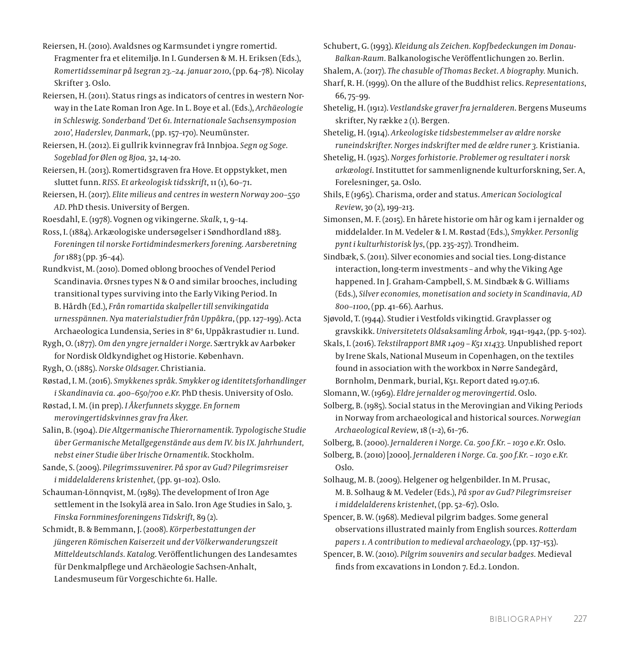Reiersen, H. (2010). Avaldsnes og Karmsundet i yngre romertid. Fragmenter fra et elitemiljø. In I. Gundersen & M. H. Eriksen (Eds.), *Romertidsseminar på Isegran 23.–24. januar 2010*, (pp. 64–78)*.* Nicolay Skrifter 3. Oslo.

Reiersen, H. (2011). Status rings as indicators of centres in western Norway in the Late Roman Iron Age. In L. Boye et al. (Eds.), *Archäeologie in Schleswig. Sonderband 'Det 61. Internationale Sachsensymposion 2010', Haderslev, Danmark*, (pp. 157–170). Neumünster.

Reiersen, H. (2012). Ei gullrik kvinnegrav frå Innbjoa. *Segn og Soge. Sogeblad for Ølen og Bjoa,* 32, 14–20.

Reiersen, H. (2013). Romertidsgraven fra Hove. Et oppstykket, men sluttet funn. *RISS. Et arkeologisk tidsskrift*, 11 (1), 60–71.

Reiersen, H. (2017). *Elite milieus and centres in western Norway 200–550 AD*. PhD thesis. University of Bergen.

Roesdahl, E. (1978). Vognen og vikingerne. *Skalk*, 1, 9–14.

Ross, I. (1884). Arkæologiske undersøgelser i Søndhordland 1883. *Foreningen til norske Fortidmindesmerkers forening. Aarsberetning for* 1883 (pp. 36–44).

Rundkvist, M. (2010). Domed oblong brooches of Vendel Period Scandinavia. Ørsnes types N & O and similar brooches, including transitional types surviving into the Early Viking Period. In B. Hårdh (Ed.), *Från romartida skalpeller till senvikingatida urnesspännen. Nya materialstudier från Uppåkra*, (pp. 127–199). Acta Archaeologica Lundensia, Series in 8º 61, Uppåkrastudier 11. Lund.

Rygh, O. (1877). *Om den yngre jernalder i Norge*. Særtrykk av Aarbøker for Nordisk Oldkyndighet og Historie. København.

Rygh, O. (1885). *Norske Oldsager*. Christiania.

Røstad, I. M. (2016). *Smykkenes språk. Smykker og identitetsforhandlinger i Skandinavia ca. 400–650/700 e.Kr.* PhD thesis. University of Oslo.

Røstad, I. M. (in prep). *I Åkerfunnets skygge. En fornem merovingertidskvinnes grav fra Åker*.

Salin, B. (1904). *Die Altgermanische Thierornamentik. Typologische Studie über Germanische Metallgegenstände aus dem IV. bis IX. Jahrhundert, nebst einer Studie über Irische Ornamentik*. Stockholm.

Sande, S. (2009). *Pilegrimssuvenirer. På spor av Gud? Pilegrimsreiser i middelalderens kristenhet,* (pp. 91–102). Oslo.

Schauman-Lönnqvist, M. (1989). The development of Iron Age settlement in the Isokylä area in Salo. Iron Age Studies in Salo, 3. *Finska Fornminesforeningens Tidskrift,* 89 (2).

Schmidt, B. & Bemmann, J. (2008). *Körperbestattungen der jüngeren Römischen Kaiserzeit und der Völkerwanderungszeit Mitteldeutschlands. Katalog*. Veröffentlichungen des Landesamtes für Denkmalpflege und Archäeologie Sachsen-Anhalt, Landesmuseum für Vorgeschichte 61. Halle.

Schubert, G. (1993). *Kleidung als Zeichen. Kopfbedeckungen im Donau-Balkan-Raum.* Balkanologische Veröffentlichungen 20. Berlin.

Shalem, A. (2017). *The chasuble of Thomas Becket. A biography.* Munich.

Sharf, R. H. (1999). On the allure of the Buddhist relics. *Representations*, 66, 75–99.

Shetelig, H. (1912). *Vestlandske graver fra jernalderen*. Bergens Museums skrifter, Ny række 2 (1). Bergen.

Shetelig, H. (1914). *Arkeologiske tidsbestemmelser av ældre norske runeindskrifter. Norges indskrifter med de ældre runer 3.* Kristiania.

Shetelig, H. (1925). *Norges forhistorie. Problemer og resultater i norsk arkæologi*. Instituttet for sammenlignende kulturforskning, Ser. A, Forelesninger, 5a. Oslo.

Shils, E (1965). Charisma, order and status. *American Sociological Review*, 30 (2), 199–213.

Simonsen, M. F. (2015). En hårete historie om hår og kam i jernalder og middelalder. In M. Vedeler & I. M. Røstad (Eds.), *Smykker. Personlig pynt i kulturhistorisk lys*, (pp. 235–257)*.* Trondheim.

Sindbæk, S. (2011). Silver economies and social ties. Long-distance interaction, long-term investments – and why the Viking Age happened. In J. Graham-Campbell, S. M. Sindbæk & G. Williams (Eds.), *Silver economies, monetisation and society in Scandinavia, AD 800–1100*, (pp. 41–66). Aarhus.

Sjøvold, T. (1944). Studier i Vestfolds vikingtid. Gravplasser og gravskikk. *Universitetets Oldsaksamling Årbok,* 1941–1942, (pp. 5–102).

Skals, I. (2016). *Tekstilrapport BMR 1409 – K51 x1433.* Unpublished report by Irene Skals, National Museum in Copenhagen, on the textiles found in association with the workbox in Nørre Sandegård, Bornholm, Denmark, burial, K51. Report dated 19.07.16.

Slomann, W. (1969). *Eldre jernalder og merovingertid*. Oslo.

Solberg, B. (1985). Social status in the Merovingian and Viking Periods in Norway from archaeological and historical sources. *Norwegian Archaeological Review*, 18 (1–2), 61–76.

Solberg, B. (2000). *Jernalderen i Norge. Ca. 500 f.Kr. – 1030 e.Kr.* Oslo.

Solberg, B. (2010) [2000]. *Jernalderen i Norge. Ca. 500 f.Kr. – 1030 e.Kr.*  Oslo.

Solhaug, M. B. (2009). Helgener og helgenbilder. In M. Prusac, M. B. Solhaug & M. Vedeler (Eds.), *På spor av Gud? Pilegrimsreiser i middelalderens kristenhet*, (pp. 52–67). Oslo.

Spencer, B. W. (1968). Medieval pilgrim badges. Some general observations illustrated mainly from English sources. *Rotterdam papers 1. A contribution to medieval archaeology*, (pp. 137–153).

Spencer, B. W. (2010). *Pilgrim souvenirs and secular badges.* Medieval finds from excavations in London 7. Ed.2. London.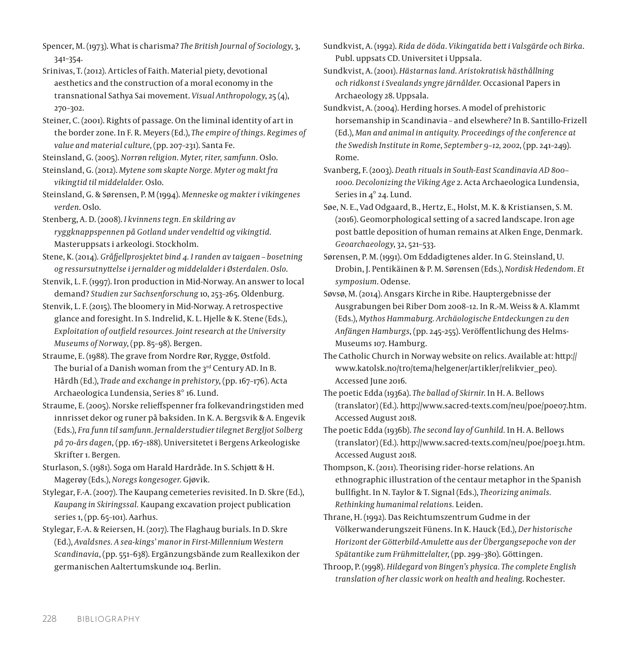Spencer, M. (1973). What is charisma? *The British Journal of Sociology*, 3, 341–354.

- Srinivas, T. (2012). Articles of Faith. Material piety, devotional aesthetics and the construction of a moral economy in the transnational Sathya Sai movement. *Visual Anthropology*, 25 (4), 270–302.
- Steiner, C. (2001). Rights of passage. On the liminal identity of art in the border zone. In F. R. Meyers (Ed.), *The empire of things. Regimes of value and material culture*, (pp. 207–231). Santa Fe.
- Steinsland, G. (2005). *Norrøn religion. Myter, riter, samfunn.* Oslo.
- Steinsland, G. (2012). *Mytene som skapte Norge. Myter og makt fra vikingtid til middelalder.* Oslo.
- Steinsland, G. & Sørensen, P. M (1994). *Menneske og makter i vikingenes verden*. Oslo.
- Stenberg, A. D. (2008). *I kvinnens tegn. En skildring av ryggknappspennen på Gotland under vendeltid og vikingtid.*  Masteruppsats i arkeologi. Stockholm.
- Stene, K. (2014). *Gråfjellprosjektet bind 4. I randen av taigaen bosetning og ressursutnyttelse i jernalder og middelalder i Østerdalen. Oslo*.
- Stenvik, L. F. (1997). Iron production in Mid-Norway. An answer to local demand? *Studien zur Sachsenforschung* 10, 253–265. Oldenburg.
- Stenvik, L. F. (2015). The bloomery in Mid-Norway. A retrospective glance and foresight. In S. Indrelid, K. L. Hjelle & K. Stene (Eds.), *Exploitation of outfield resources. Joint research at the University Museums of Norway*, (pp. 85–98). Bergen.
- Straume, E. (1988). The grave from Nordre Rør, Rygge, Østfold. The burial of a Danish woman from the 3rd Century AD. In B. Hårdh (Ed.), *Trade and exchange in prehistory*, (pp. 167–176). Acta Archaeologica Lundensia, Series 8° 16. Lund.
- Straume, E. (2005). Norske relieffspenner fra folkevandringstiden med innrisset dekor og runer på baksiden. In K. A. Bergsvik & A. Engevik (Eds.), *Fra funn til samfunn*. *Jernalderstudier tilegnet Bergljot Solberg på 70-års dagen*, (pp. 167–188). Universitetet i Bergens Arkeologiske Skrifter 1. Bergen.
- Sturlason, S. (1981). Soga om Harald Hardråde. In S. Schjøtt & H. Magerøy (Eds.), *Noregs kongesoger.* Gjøvik.
- Stylegar, F.-A. (2007). The Kaupang cemeteries revisited. In D. Skre (Ed.), *Kaupang in Skiringssal.* Kaupang excavation project publication series 1, (pp. 65–101). Aarhus.
- Stylegar, F.-A. & Reiersen, H. (2017). The Flaghaug burials. In D. Skre (Ed.), *Avaldsnes. A sea-kings' manor in First-Millennium Western Scandinavia*, (pp. 551–638). Ergänzungsbände zum Reallexikon der germanischen Aaltertumskunde 104. Berlin.

Sundkvist, A. (1992). *Rida de döda. Vikingatida bett i Valsgärde och Birka*. Publ. uppsats CD. Universitet i Uppsala.

Sundkvist, A. (2001). *Hästarnas land. Aristokratisk hästhållning och ridkonst i Svealands yngre järnålder.* Occasional Papers in Archaeology 28. Uppsala.

- Sundkvist, A. (2004). Herding horses. A model of prehistoric horsemanship in Scandinavia – and elsewhere? In B. Santillo-Frizell (Ed.), *Man and animal in antiquity. Proceedings of the conference at the Swedish Institute in Rome*, *September 9–12, 2002*, (pp. 241–249). Rome.
- Svanberg, F. (2003). *Death rituals in South-East Scandinavia AD 800– 1000. Decolonizing the Viking Age 2*. Acta Archaeologica Lundensia, Series in 4° 24. Lund.
- Søe, N. E., Vad Odgaard, B., Hertz, E., Holst, M. K. & Kristiansen, S. M. (2016). Geomorphological setting of a sacred landscape. Iron age post battle deposition of human remains at Alken Enge, Denmark. *Geoarchaeology*, 32, 521–533.
- Sørensen, P. M. (1991). Om Eddadigtenes alder. In G. Steinsland, U. Drobin, J. Pentikäinen & P. M. Sørensen (Eds.), *Nordisk Hedendom. Et symposium*. Odense.
- Søvsø, M. (2014). Ansgars Kirche in Ribe. Hauptergebnisse der Ausgrabungen bei Riber Dom 2008–12. In R.-M. Weiss & A. Klammt (Eds.), *Mythos Hammaburg. Archäologische Entdeckungen zu den Anfängen Hamburgs*, (pp. 245–255). Veröffentlichung des Helms-Museums 107. Hamburg.
- The Catholic Church in Norway website on relics. Available at: [http://](http://www.katolsk.no/tro/tema/helgener/artikler/relikvier_peo) [www.katolsk.no/tro/tema/helgener/artikler/relikvier\\_peo](http://www.katolsk.no/tro/tema/helgener/artikler/relikvier_peo)). Accessed June 2016.
- The poetic Edda (1936a). *The ballad of Skirnir*. In H. A. Bellows (translator) (Ed.). [http://www.sacred-texts.com/neu/poe/poe07.htm.](http://www.sacred-texts.com/neu/poe/poe07.htm) Accessed August 2018.
- The poetic Edda (1936b). *The second lay of Gunhild.* In H. A. Bellows (translator) (Ed.).<http://www.sacred-texts.com/neu/poe/poe31.htm>. Accessed August 2018.
- Thompson, K. (2011). Theorising rider–horse relations. An ethnographic illustration of the centaur metaphor in the Spanish bullfight. In N. Taylor & T. Signal (Eds.), *Theorizing animals. Rethinking humanimal relations.* Leiden.
- Thrane, H. (1992). Das Reichtumszentrum Gudme in der Völkerwanderungszeit Fünens. In K. Hauck (Ed.), *Der historische Horizont der Götterbild-Amulette aus der Übergangsepoche von der Spätantike zum Frühmittelalter*, (pp. 299–380). Göttingen.
- Throop, P. (1998). *Hildegard von Bingen's physica. The complete English translation of her classic work on health and healing*. Rochester.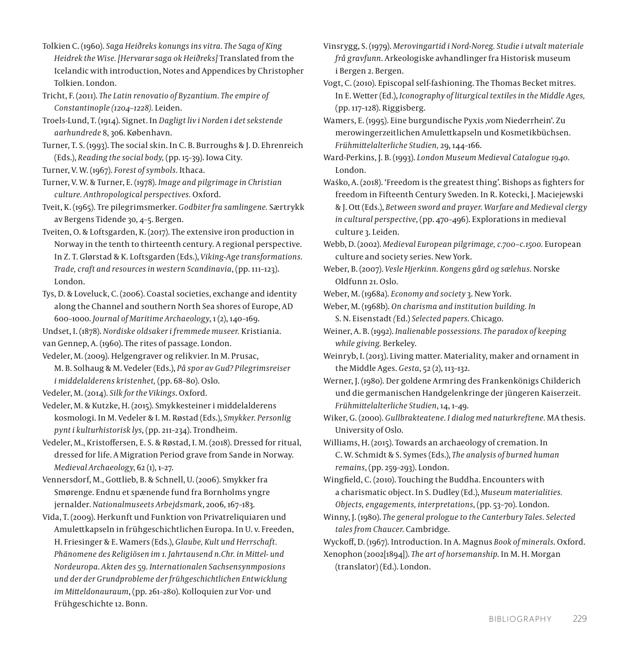- Tolkien C. (1960). *Saga Heiðreks konungs ins vitra. The Saga of King Heidrek the Wise. [Hervarar saga ok Heiðreks]* Translated from the Icelandic with introduction, Notes and Appendices by Christopher Tolkien. London.
- Tricht, F. (2011). *The Latin renovatio of Byzantium. The empire of Constantinople (1204–1228).* Leiden.

Troels-Lund, T. (1914). Signet. In *Dagligt liv i Norden i det sekstende aarhundrede* 8, 306. København.

- Turner, T. S. (1993). The social skin. In C. B. Burroughs & J. D. Ehrenreich (Eds.), *Reading the social body,* (pp. 15–39). Iowa City.
- Turner, V. W. (1967). *Forest of symbols.* Ithaca.

Turner, V. W. & Turner, E. (1978). *Image and pilgrimage in Christian culture. Anthropological perspectives.* Oxford.

Tveit, K. (1965). Tre pilegrimsmerker. *Godbiter fra samlingene.* Særtrykk av Bergens Tidende 30, 4–5. Bergen.

Tveiten, O. & Loftsgarden, K. (2017). The extensive iron production in Norway in the tenth to thirteenth century. A regional perspective. In Z. T. Glørstad & K. Loftsgarden (Eds.), *Viking-Age transformations. Trade, craft and resources in western Scandinavia*, (pp. 111–123). London.

- Tys, D. & Loveluck, C. (2006). Coastal societies, exchange and identity along the Channel and southern North Sea shores of Europe, AD 600–1000. *Journal of Maritime Archaeology*, 1 (2), 140–169.
- Undset, I. (1878). *Nordiske oldsaker i fremmede museer.* Kristiania. van Gennep, A. (1960). The rites of passage. London.
- Vedeler, M. (2009). Helgengraver og relikvier. In M. Prusac, M. B. Solhaug & M. Vedeler (Eds.), *På spor av Gud? Pilegrimsreiser i middelalderens kristenhet,* (pp. 68–80). Oslo.
- Vedeler, M. (2014). *Silk for the Vikings*. Oxford.
- Vedeler, M. & Kutzke, H. (2015). Smykkesteiner i middelalderens kosmologi. In M. Vedeler & I. M. Røstad (Eds.), *Smykker. Personlig pynt i kulturhistorisk lys*, (pp. 211–234). Trondheim.
- Vedeler, M., Kristoffersen, E. S. & Røstad, I. M. (2018). Dressed for ritual, dressed for life. A Migration Period grave from Sande in Norway. *Medieval Archaeology*, 62 (1), 1–27.

Vennersdorf, M., Gottlieb, B. & Schnell, U. (2006). Smykker fra Smørenge. Endnu et spænende fund fra Bornholms yngre jernalder. *Nationalmuseets Arbejdsmark*, 2006, 167–183.

Vida, T. (2009). Herkunft und Funktion von Privatreliquiaren und Amulettkapseln in frühgeschichtlichen Europa. In U. v. Freeden, H. Friesinger & E. Wamers (Eds.), *Glaube, Kult und Herrschaft. Phänomene des Religiösen im 1. Jahrtausend n.Chr. in Mittel- und Nordeuropa*. *Akten des 59. Internationalen Sachsensynmposions und der der Grundprobleme der frühgeschichtlichen Entwicklung im Mitteldonauraum*, (pp. 261–280). Kolloquien zur Vor- und Frühgeschichte 12. Bonn.

Vinsrygg, S. (1979). *Merovingartid i Nord-Noreg. Studie i utvalt materiale frå gravfunn*. Arkeologiske avhandlinger fra Historisk museum i Bergen 2. Bergen.

Vogt, C. (2010). Episcopal self-fashioning. The Thomas Becket mitres. In E. Wetter (Ed.), *Iconography of liturgical textiles in the Middle Ages,*  (pp. 117–128). Riggisberg.

Wamers, E. (1995). Eine burgundische Pyxis ,vom Niederrhein'. Zu merowingerzeitlichen Amulettkapseln und Kosmetikbüchsen. *Frühmittelalterliche Studien,* 29, 144–166.

Ward-Perkins, J. B. (1993). *London Museum Medieval Catalogue 1940*. London.

Waśko, A. (2018). 'Freedom is the greatest thing'. Bishops as fighters for freedom in Fifteenth Century Sweden. In R. Kotecki, J. Maciejewski & J. Ott (Eds.), *Between sword and prayer. Warfare and Medieval clergy in cultural perspective*, (pp. 470–496). Explorations in medieval culture 3. Leiden.

Webb, D. (2002). *Medieval European pilgrimage, c.700–c.1500.* European culture and society series. New York.

Weber, B. (2007). *Vesle Hjerkinn. Kongens gård og sælehus.* Norske Oldfunn 21. Oslo.

- Weber, M. (1968a). *Economy and society* 3. New York.
- Weber, M. (1968b). *On charisma and institution building. In*  S. N. Eisenstadt *(*Ed.) *Selected papers*. Chicago.
- Weiner, A. B. (1992). *Inalienable possessions. The paradox of keeping while giving.* Berkeley.
- Weinryb, I. (2013). Living matter. Materiality, maker and ornament in the Middle Ages. *Gesta*, 52 (2), 113–132.

Werner, J. (1980). Der goldene Armring des Frankenkönigs Childerich und die germanischen Handgelenkringe der jüngeren Kaiserzeit. *Frühmittelalterliche Studien*, 14, 1–49.

Wiker, G. (2000). *Gullbrakteatene. I dialog med naturkreftene.* MA thesis. University of Oslo.

Williams, H. (2015). Towards an archaeology of cremation. In C. W. Schmidt & S. Symes (Eds.), *The analysis of burned human remains*, (pp. 259–293). London.

Wingfield, C. (2010). Touching the Buddha. Encounters with a charismatic object. In S. Dudley (Ed.), *Museum materialities. Objects, engagements, interpretations*, (pp. 53–70). London.

Winny, J. (1980). *The general prologue to the Canterbury Tales. Selected tales from Chaucer*. Cambridge.

Wyckoff, D. (1967). Introduction. In A. Magnus *Book of minerals*. Oxford. Xenophon (2002[1894]). *The art of horsemanship*. In M. H. Morgan (translator) (Ed.). London.